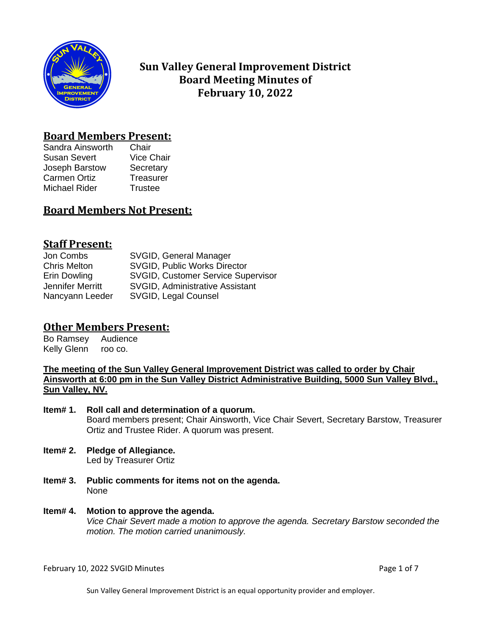

# **Sun Valley General Improvement District Board Meeting Minutes of February 10, 2022**

## **Board Members Present:**

Sandra Ainsworth Chair Susan Severt Vice Chair Joseph Barstow Secretary Carmen Ortiz **Treasurer** Michael Rider Trustee

# **Board Members Not Present:**

## **Staff Present:**

| Jon Combs           | SVGID, General Manager                    |
|---------------------|-------------------------------------------|
| <b>Chris Melton</b> | <b>SVGID, Public Works Director</b>       |
| Erin Dowling        | <b>SVGID, Customer Service Supervisor</b> |
| Jennifer Merritt    | <b>SVGID, Administrative Assistant</b>    |
| Nancyann Leeder     | SVGID, Legal Counsel                      |

# **Other Members Present:**

Bo Ramsey Audience Kelly Glenn roo co.

**The meeting of the Sun Valley General Improvement District was called to order by Chair Ainsworth at 6:00 pm in the Sun Valley District Administrative Building, 5000 Sun Valley Blvd., Sun Valley, NV.**

**Item# 1. Roll call and determination of a quorum.** Board members present; Chair Ainsworth, Vice Chair Severt, Secretary Barstow, Treasurer Ortiz and Trustee Rider. A quorum was present.

- **Item# 2. Pledge of Allegiance.** Led by Treasurer Ortiz
- **Item# 3. Public comments for items not on the agenda.**  None

### **Item# 4. Motion to approve the agenda.** *Vice Chair Severt made a motion to approve the agenda. Secretary Barstow seconded the motion. The motion carried unanimously.*

February 10, 2022 SVGID Minutes **Page 1 of 7** and 2012 10 and 2012 10:00 Page 1 of 7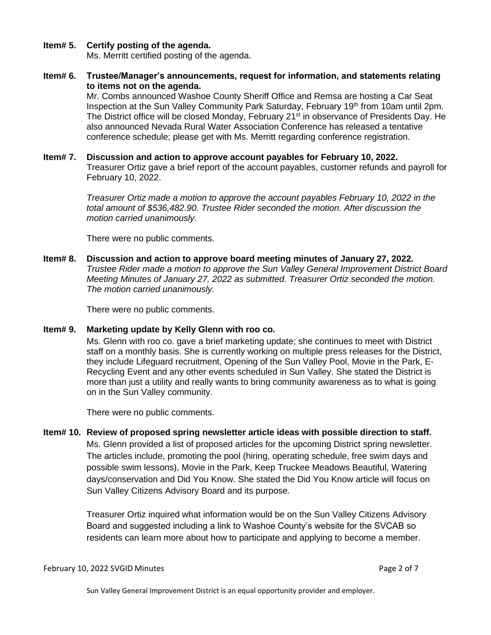### **Item# 5. Certify posting of the agenda.**

Ms. Merritt certified posting of the agenda.

**Item# 6. Trustee/Manager's announcements, request for information, and statements relating to items not on the agenda.**

Mr. Combs announced Washoe County Sheriff Office and Remsa are hosting a Car Seat Inspection at the Sun Valley Community Park Saturday, February 19th from 10am until 2pm. The District office will be closed Monday, February  $21<sup>st</sup>$  in observance of Presidents Day. He also announced Nevada Rural Water Association Conference has released a tentative conference schedule; please get with Ms. Merritt regarding conference registration.

### **Item# 7. Discussion and action to approve account payables for February 10, 2022.**

Treasurer Ortiz gave a brief report of the account payables, customer refunds and payroll for February 10, 2022.

*Treasurer Ortiz made a motion to approve the account payables February 10, 2022 in the total amount of \$536,482.90. Trustee Rider seconded the motion. After discussion the motion carried unanimously.*

There were no public comments.

**Item# 8. Discussion and action to approve board meeting minutes of January 27, 2022.**  *Trustee Rider made a motion to approve the Sun Valley General Improvement District Board Meeting Minutes of January 27, 2022 as submitted. Treasurer Ortiz seconded the motion. The motion carried unanimously.*

There were no public comments.

### **Item# 9. Marketing update by Kelly Glenn with roo co.**

Ms. Glenn with roo co. gave a brief marketing update; she continues to meet with District staff on a monthly basis. She is currently working on multiple press releases for the District, they include Lifeguard recruitment, Opening of the Sun Valley Pool, Movie in the Park, E-Recycling Event and any other events scheduled in Sun Valley. She stated the District is more than just a utility and really wants to bring community awareness as to what is going on in the Sun Valley community.

There were no public comments.

**Item# 10. Review of proposed spring newsletter article ideas with possible direction to staff.** Ms. Glenn provided a list of proposed articles for the upcoming District spring newsletter. The articles include, promoting the pool (hiring, operating schedule, free swim days and possible swim lessons), Movie in the Park, Keep Truckee Meadows Beautiful, Watering days/conservation and Did You Know. She stated the Did You Know article will focus on Sun Valley Citizens Advisory Board and its purpose.

> Treasurer Ortiz inquired what information would be on the Sun Valley Citizens Advisory Board and suggested including a link to Washoe County's website for the SVCAB so residents can learn more about how to participate and applying to become a member.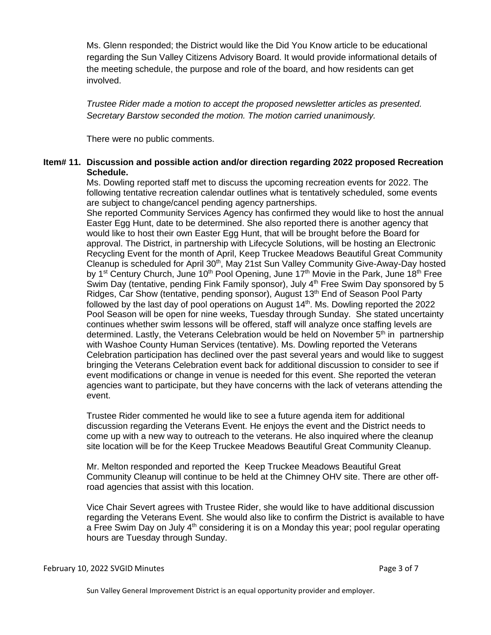Ms. Glenn responded; the District would like the Did You Know article to be educational regarding the Sun Valley Citizens Advisory Board. It would provide informational details of the meeting schedule, the purpose and role of the board, and how residents can get involved.

*Trustee Rider made a motion to accept the proposed newsletter articles as presented. Secretary Barstow seconded the motion. The motion carried unanimously.* 

There were no public comments.

### **Item# 11. Discussion and possible action and/or direction regarding 2022 proposed Recreation Schedule.**

Ms. Dowling reported staff met to discuss the upcoming recreation events for 2022. The following tentative recreation calendar outlines what is tentatively scheduled, some events are subject to change/cancel pending agency partnerships.

She reported Community Services Agency has confirmed they would like to host the annual Easter Egg Hunt, date to be determined. She also reported there is another agency that would like to host their own Easter Egg Hunt, that will be brought before the Board for approval. The District, in partnership with Lifecycle Solutions, will be hosting an Electronic Recycling Event for the month of April, Keep Truckee Meadows Beautiful Great Community Cleanup is scheduled for April 30<sup>th</sup>, May 21st Sun Valley Community Give-Away-Day hosted by 1<sup>st</sup> Century Church, June 10<sup>th</sup> Pool Opening, June 17<sup>th</sup> Movie in the Park, June 18<sup>th</sup> Free Swim Day (tentative, pending Fink Family sponsor), July 4<sup>th</sup> Free Swim Day sponsored by 5 Ridges, Car Show (tentative, pending sponsor), August  $13<sup>th</sup>$  End of Season Pool Party followed by the last day of pool operations on August 14<sup>th</sup>. Ms. Dowling reported the 2022 Pool Season will be open for nine weeks, Tuesday through Sunday. She stated uncertainty continues whether swim lessons will be offered, staff will analyze once staffing levels are determined. Lastly, the Veterans Celebration would be held on November 5<sup>th</sup> in partnership with Washoe County Human Services (tentative). Ms. Dowling reported the Veterans Celebration participation has declined over the past several years and would like to suggest bringing the Veterans Celebration event back for additional discussion to consider to see if event modifications or change in venue is needed for this event. She reported the veteran agencies want to participate, but they have concerns with the lack of veterans attending the event.

Trustee Rider commented he would like to see a future agenda item for additional discussion regarding the Veterans Event. He enjoys the event and the District needs to come up with a new way to outreach to the veterans. He also inquired where the cleanup site location will be for the Keep Truckee Meadows Beautiful Great Community Cleanup.

Mr. Melton responded and reported the Keep Truckee Meadows Beautiful Great Community Cleanup will continue to be held at the Chimney OHV site. There are other offroad agencies that assist with this location.

Vice Chair Severt agrees with Trustee Rider, she would like to have additional discussion regarding the Veterans Event. She would also like to confirm the District is available to have a Free Swim Day on July  $4<sup>th</sup>$  considering it is on a Monday this year; pool regular operating hours are Tuesday through Sunday.

Sun Valley General Improvement District is an equal opportunity provider and employer.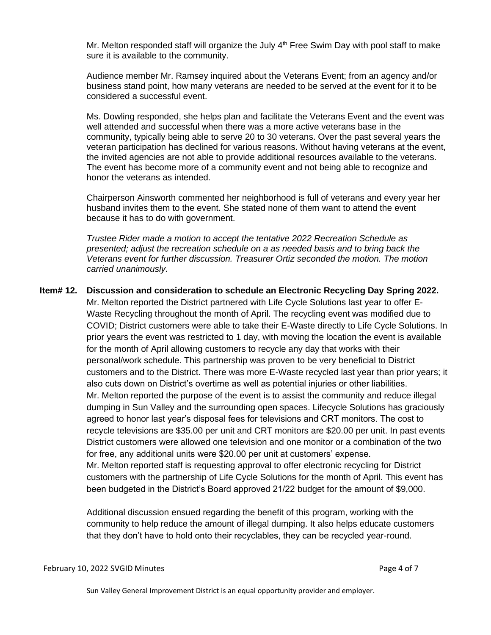Mr. Melton responded staff will organize the July  $4<sup>th</sup>$  Free Swim Day with pool staff to make sure it is available to the community.

Audience member Mr. Ramsey inquired about the Veterans Event; from an agency and/or business stand point, how many veterans are needed to be served at the event for it to be considered a successful event.

Ms. Dowling responded, she helps plan and facilitate the Veterans Event and the event was well attended and successful when there was a more active veterans base in the community, typically being able to serve 20 to 30 veterans. Over the past several years the veteran participation has declined for various reasons. Without having veterans at the event, the invited agencies are not able to provide additional resources available to the veterans. The event has become more of a community event and not being able to recognize and honor the veterans as intended.

Chairperson Ainsworth commented her neighborhood is full of veterans and every year her husband invites them to the event. She stated none of them want to attend the event because it has to do with government.

*Trustee Rider made a motion to accept the tentative 2022 Recreation Schedule as presented; adjust the recreation schedule on a as needed basis and to bring back the Veterans event for further discussion. Treasurer Ortiz seconded the motion. The motion carried unanimously.* 

### **Item# 12. Discussion and consideration to schedule an Electronic Recycling Day Spring 2022.** Mr. Melton reported the District partnered with Life Cycle Solutions last year to offer E-Waste Recycling throughout the month of April. The recycling event was modified due to COVID; District customers were able to take their E-Waste directly to Life Cycle Solutions. In prior years the event was restricted to 1 day, with moving the location the event is available for the month of April allowing customers to recycle any day that works with their personal/work schedule. This partnership was proven to be very beneficial to District customers and to the District. There was more E-Waste recycled last year than prior years; it also cuts down on District's overtime as well as potential injuries or other liabilities. Mr. Melton reported the purpose of the event is to assist the community and reduce illegal dumping in Sun Valley and the surrounding open spaces. Lifecycle Solutions has graciously agreed to honor last year's disposal fees for televisions and CRT monitors. The cost to recycle televisions are \$35.00 per unit and CRT monitors are \$20.00 per unit. In past events District customers were allowed one television and one monitor or a combination of the two for free, any additional units were \$20.00 per unit at customers' expense. Mr. Melton reported staff is requesting approval to offer electronic recycling for District customers with the partnership of Life Cycle Solutions for the month of April. This event has been budgeted in the District's Board approved 21/22 budget for the amount of \$9,000.

Additional discussion ensued regarding the benefit of this program, working with the community to help reduce the amount of illegal dumping. It also helps educate customers that they don't have to hold onto their recyclables, they can be recycled year-round.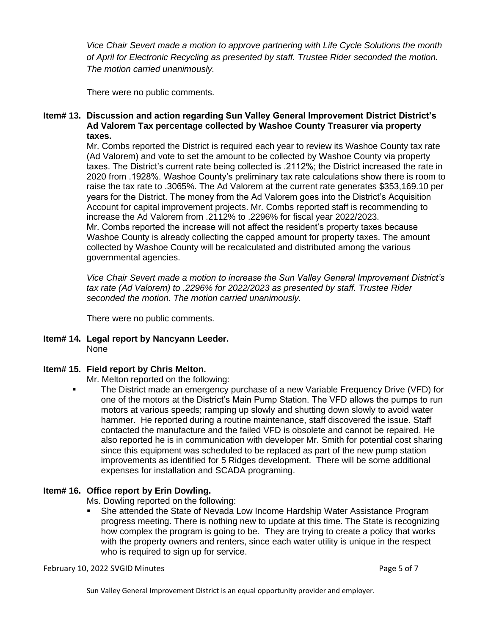*Vice Chair Severt made a motion to approve partnering with Life Cycle Solutions the month of April for Electronic Recycling as presented by staff. Trustee Rider seconded the motion. The motion carried unanimously.*

There were no public comments.

### **Item# 13. Discussion and action regarding Sun Valley General Improvement District District's Ad Valorem Tax percentage collected by Washoe County Treasurer via property taxes.**

Mr. Combs reported the District is required each year to review its Washoe County tax rate (Ad Valorem) and vote to set the amount to be collected by Washoe County via property taxes. The District's current rate being collected is .2112%; the District increased the rate in 2020 from .1928%. Washoe County's preliminary tax rate calculations show there is room to raise the tax rate to .3065%. The Ad Valorem at the current rate generates \$353,169.10 per years for the District. The money from the Ad Valorem goes into the District's Acquisition Account for capital improvement projects. Mr. Combs reported staff is recommending to increase the Ad Valorem from .2112% to .2296% for fiscal year 2022/2023. Mr. Combs reported the increase will not affect the resident's property taxes because Washoe County is already collecting the capped amount for property taxes. The amount collected by Washoe County will be recalculated and distributed among the various governmental agencies.

*Vice Chair Severt made a motion to increase the Sun Valley General Improvement District's tax rate (Ad Valorem) to .2296% for 2022/2023 as presented by staff. Trustee Rider seconded the motion. The motion carried unanimously.* 

There were no public comments.

**Item# 14. Legal report by Nancyann Leeder.** None

### **Item# 15. Field report by Chris Melton.**

Mr. Melton reported on the following:

The District made an emergency purchase of a new Variable Frequency Drive (VFD) for one of the motors at the District's Main Pump Station. The VFD allows the pumps to run motors at various speeds; ramping up slowly and shutting down slowly to avoid water hammer. He reported during a routine maintenance, staff discovered the issue. Staff contacted the manufacture and the failed VFD is obsolete and cannot be repaired. He also reported he is in communication with developer Mr. Smith for potential cost sharing since this equipment was scheduled to be replaced as part of the new pump station improvements as identified for 5 Ridges development. There will be some additional expenses for installation and SCADA programing.

### **Item# 16. Office report by Erin Dowling.**

Ms. Dowling reported on the following:

■ She attended the State of Nevada Low Income Hardship Water Assistance Program progress meeting. There is nothing new to update at this time. The State is recognizing how complex the program is going to be. They are trying to create a policy that works with the property owners and renters, since each water utility is unique in the respect who is required to sign up for service.

February 10, 2022 SVGID Minutes **Page 5 of 7** and 2012 12:00 February 10, 2022 SVGID Minutes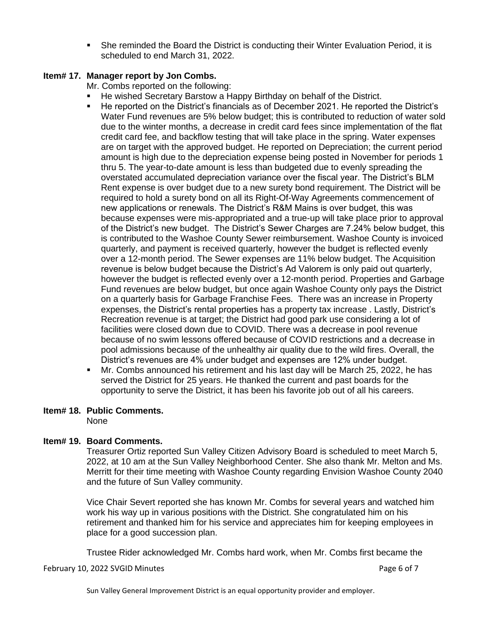**•** She reminded the Board the District is conducting their Winter Evaluation Period, it is scheduled to end March 31, 2022.

### **Item# 17. Manager report by Jon Combs.**

Mr. Combs reported on the following:

- He wished Secretary Barstow a Happy Birthday on behalf of the District.
- He reported on the District's financials as of December 2021. He reported the District's Water Fund revenues are 5% below budget; this is contributed to reduction of water sold due to the winter months, a decrease in credit card fees since implementation of the flat credit card fee, and backflow testing that will take place in the spring. Water expenses are on target with the approved budget. He reported on Depreciation; the current period amount is high due to the depreciation expense being posted in November for periods 1 thru 5. The year-to-date amount is less than budgeted due to evenly spreading the overstated accumulated depreciation variance over the fiscal year. The District's BLM Rent expense is over budget due to a new surety bond requirement. The District will be required to hold a surety bond on all its Right-Of-Way Agreements commencement of new applications or renewals. The District's R&M Mains is over budget, this was because expenses were mis-appropriated and a true-up will take place prior to approval of the District's new budget. The District's Sewer Charges are 7.24% below budget, this is contributed to the Washoe County Sewer reimbursement. Washoe County is invoiced quarterly, and payment is received quarterly, however the budget is reflected evenly over a 12-month period. The Sewer expenses are 11% below budget. The Acquisition revenue is below budget because the District's Ad Valorem is only paid out quarterly, however the budget is reflected evenly over a 12-month period. Properties and Garbage Fund revenues are below budget, but once again Washoe County only pays the District on a quarterly basis for Garbage Franchise Fees. There was an increase in Property expenses, the District's rental properties has a property tax increase . Lastly, District's Recreation revenue is at target; the District had good park use considering a lot of facilities were closed down due to COVID. There was a decrease in pool revenue because of no swim lessons offered because of COVID restrictions and a decrease in pool admissions because of the unhealthy air quality due to the wild fires. Overall, the District's revenues are 4% under budget and expenses are 12% under budget.
- Mr. Combs announced his retirement and his last day will be March 25, 2022, he has served the District for 25 years. He thanked the current and past boards for the opportunity to serve the District, it has been his favorite job out of all his careers.

### **Item# 18. Public Comments.**

None

### **Item# 19. Board Comments.**

Treasurer Ortiz reported Sun Valley Citizen Advisory Board is scheduled to meet March 5, 2022, at 10 am at the Sun Valley Neighborhood Center. She also thank Mr. Melton and Ms. Merritt for their time meeting with Washoe County regarding Envision Washoe County 2040 and the future of Sun Valley community.

Vice Chair Severt reported she has known Mr. Combs for several years and watched him work his way up in various positions with the District. She congratulated him on his retirement and thanked him for his service and appreciates him for keeping employees in place for a good succession plan.

Trustee Rider acknowledged Mr. Combs hard work, when Mr. Combs first became the

February 10, 2022 SVGID Minutes **Page 6 of 7** and 2022 February 10, 2022 SVGID Minutes

Sun Valley General Improvement District is an equal opportunity provider and employer.